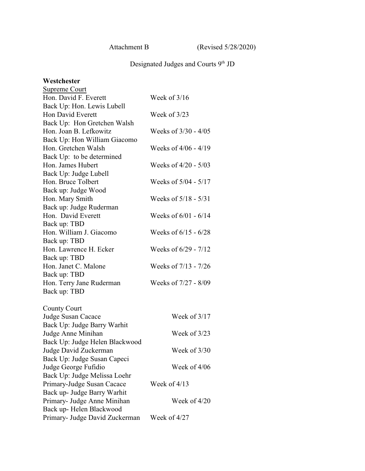Attachment B (Revised 5/28/2020)

## Designated Judges and Courts 9<sup>th</sup> JD

#### **Westchester**

| Supreme Court                  |                        |
|--------------------------------|------------------------|
| Hon. David F. Everett          | Week of 3/16           |
| Back Up: Hon. Lewis Lubell     |                        |
| Hon David Everett              | Week of $3/23$         |
| Back Up: Hon Gretchen Walsh    |                        |
| Hon. Joan B. Lefkowitz         | Weeks of 3/30 - 4/05   |
| Back Up: Hon William Giacomo   |                        |
| Hon. Gretchen Walsh            | Weeks of $4/06 - 4/19$ |
| Back Up: to be determined      |                        |
| Hon. James Hubert              | Weeks of $4/20 - 5/03$ |
| Back Up: Judge Lubell          |                        |
| Hon. Bruce Tolbert             | Weeks of 5/04 - 5/17   |
| Back up: Judge Wood            |                        |
| Hon. Mary Smith                | Weeks of 5/18 - 5/31   |
| Back up: Judge Ruderman        |                        |
| Hon. David Everett             | Weeks of $6/01 - 6/14$ |
| Back up: TBD                   |                        |
| Hon. William J. Giacomo        | Weeks of $6/15 - 6/28$ |
| Back up: TBD                   |                        |
| Hon. Lawrence H. Ecker         | Weeks of 6/29 - 7/12   |
| Back up: TBD                   |                        |
| Hon. Janet C. Malone           | Weeks of 7/13 - 7/26   |
| Back up: TBD                   |                        |
| Hon. Terry Jane Ruderman       | Weeks of 7/27 - 8/09   |
| Back up: TBD                   |                        |
|                                |                        |
| <b>County Court</b>            |                        |
| Judge Susan Cacace             | Week of 3/17           |
| Back Up: Judge Barry Warhit    |                        |
| Judge Anne Minihan             | Week of $3/23$         |
| Back Up: Judge Helen Blackwood |                        |
| Judge David Zuckerman          | Week of 3/30           |
| Back Up: Judge Susan Capeci    |                        |
| Judge George Fufidio           | Week of 4/06           |
| Back Up: Judge Melissa Loehr   |                        |
| Primary-Judge Susan Cacace     | Week of $4/13$         |
| Back up- Judge Barry Warhit    |                        |
| Primary- Judge Anne Minihan    | Week of $4/20$         |
| Back up-Helen Blackwood        |                        |
| Primary- Judge David Zuckerman | Week of 4/27           |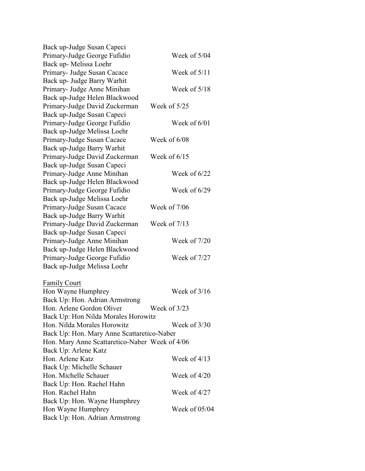| Back up-Judge Susan Capeci                     |                |
|------------------------------------------------|----------------|
| Primary-Judge George Fufidio                   | Week of 5/04   |
| Back up- Melissa Loehr                         |                |
| Primary- Judge Susan Cacace                    | Week of $5/11$ |
| Back up- Judge Barry Warhit                    |                |
| Primary- Judge Anne Minihan                    | Week of $5/18$ |
| Back up-Judge Helen Blackwood                  |                |
| Primary-Judge David Zuckerman                  | Week of 5/25   |
| Back up-Judge Susan Capeci                     |                |
| Primary-Judge George Fufidio                   | Week of 6/01   |
| Back up-Judge Melissa Loehr                    |                |
| Primary-Judge Susan Cacace                     | Week of 6/08   |
| Back up-Judge Barry Warhit                     |                |
| Primary-Judge David Zuckerman                  | Week of $6/15$ |
| Back up-Judge Susan Capeci                     |                |
| Primary-Judge Anne Minihan                     | Week of $6/22$ |
| Back up-Judge Helen Blackwood                  |                |
| Primary-Judge George Fufidio                   | Week of 6/29   |
| Back up-Judge Melissa Loehr                    |                |
| Primary-Judge Susan Cacace                     | Week of 7/06   |
| Back up-Judge Barry Warhit                     |                |
| Primary-Judge David Zuckerman                  | Week of 7/13   |
| Back up-Judge Susan Capeci                     |                |
| Primary-Judge Anne Minihan                     | Week of 7/20   |
| Back up-Judge Helen Blackwood                  |                |
| Primary-Judge George Fufidio                   | Week of 7/27   |
| Back up-Judge Melissa Loehr                    |                |
|                                                |                |
| <b>Family Court</b>                            |                |
| Hon Wayne Humphrey                             | Week of $3/16$ |
| Back Up: Hon. Adrian Armstrong                 |                |
| Hon. Arlene Gordon Oliver                      | Week of 3/23   |
| Back Up: Hon Nilda Morales Horowitz            |                |
| Hon. Nilda Morales Horowitz                    | Week of $3/30$ |
| Back Up: Hon. Mary Anne Scattaretico-Naber     |                |
| Hon. Mary Anne Scattaretico-Naber Week of 4/06 |                |
| Back Up: Arlene Katz                           |                |
| Hon. Arlene Katz                               | Week of $4/13$ |
| Back Up: Michelle Schauer                      |                |
| Hon. Michelle Schauer                          | Week of $4/20$ |
| Back Up: Hon. Rachel Hahn                      |                |
| Hon. Rachel Hahn                               | Week of $4/27$ |
| Back Up: Hon. Wayne Humphrey                   |                |
| Hon Wayne Humphrey                             | Week of 05/04  |
| Back Up: Hon. Adrian Armstrong                 |                |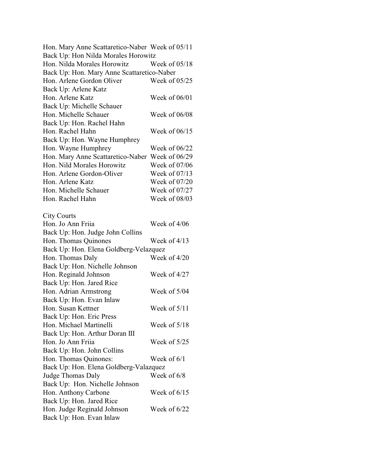| Hon. Mary Anne Scattaretico-Naber Week of 05/11 |                 |
|-------------------------------------------------|-----------------|
| Back Up: Hon Nilda Morales Horowitz             |                 |
| Hon. Nilda Morales Horowitz                     | Week of $05/18$ |
| Back Up: Hon. Mary Anne Scattaretico-Naber      |                 |
| Hon. Arlene Gordon Oliver                       | Week of $05/25$ |
| Back Up: Arlene Katz                            |                 |
| Hon. Arlene Katz                                | Week of 06/01   |
| Back Up: Michelle Schauer                       |                 |
| Hon. Michelle Schauer                           | Week of 06/08   |
| Back Up: Hon. Rachel Hahn                       |                 |
| Hon. Rachel Hahn                                | Week of $06/15$ |
| Back Up: Hon. Wayne Humphrey                    |                 |
| Hon. Wayne Humphrey                             | Week of $06/22$ |
| Hon. Mary Anne Scattaretico-Naber Week of 06/29 |                 |
| Hon. Nild Morales Horowitz                      | Week of 07/06   |
| Hon. Arlene Gordon-Oliver                       | Week of $07/13$ |
| Hon. Arlene Katz                                | Week of 07/20   |
| Hon. Michelle Schauer                           | Week of 07/27   |
| Hon. Rachel Hahn                                | Week of 08/03   |
|                                                 |                 |
| <b>City Courts</b>                              |                 |
| Hon. Jo Ann Friia                               | Week of 4/06    |
| Back Up: Hon. Judge John Collins                |                 |
| Hon. Thomas Quinones                            | Week of $4/13$  |
| Back Up: Hon. Elena Goldberg-Velazquez          |                 |
| Hon. Thomas Daly                                | Week of 4/20    |
| Back Up: Hon. Nichelle Johnson                  |                 |
| Hon. Reginald Johnson                           | Week of 4/27    |
| Back Up: Hon. Jared Rice                        |                 |
| Hon. Adrian Armstrong                           | Week of 5/04    |
| Back Up: Hon. Evan Inlaw                        |                 |
| Hon. Susan Kettner                              | Week of $5/11$  |
| Back Up: Hon. Eric Press                        |                 |
| Hon. Michael Martinelli                         | Week of 5/18    |
| Back Up: Hon. Arthur Doran III                  |                 |
| Hon. Jo Ann Friia                               | Week of $5/25$  |
| Back Up: Hon. John Collins                      |                 |
| Hon. Thomas Quinones:                           | Week of $6/1$   |
| Back Up: Hon. Elena Goldberg-Valazquez          |                 |
| Judge Thomas Daly                               | Week of 6/8     |
| Back Up: Hon. Nichelle Johnson                  |                 |
| Hon. Anthony Carbone                            | Week of $6/15$  |
| Back Up: Hon. Jared Rice                        |                 |
| Hon. Judge Reginald Johnson                     | Week of $6/22$  |
| Back Up: Hon. Evan Inlaw                        |                 |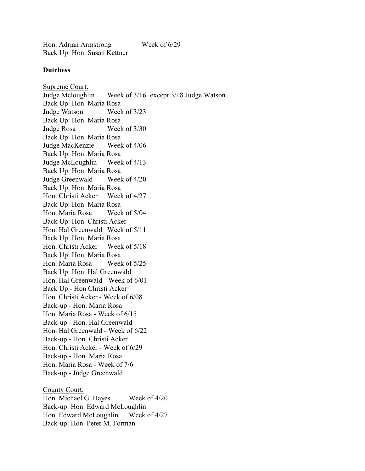Hon. Adrian Armstrong Week of 6/29 Back Up: Hon. Susan Kettner

## **Dutchess**

Supreme Court: Judge Mcloughlin Week of 3/16 except 3/18 Judge Watson Back Up: Hon. Maria Rosa Judge Watson Week of 3/23 Back Up: Hon. Maria Rosa Judge Rosa Week of 3/30 Back Up: Hon. Maria Rosa Judge MacKenzie Week of 4/06 Back Up: Hon. Maria Rosa Judge McLoughlin Week of 4/13 Back Up: Hon. Maria Rosa Judge Greenwald Week of 4/20 Back Up: Hon. Maria Rosa Hon. Christi Acker Week of 4/27 Back Up: Hon. Maria Rosa Hon. Maria Rosa Week of 5/04 Back Up: Hon. Christi Acker Hon. Hal Greenwald Week of 5/11 Back Up: Hon. Maria Rosa Hon. Christi Acker Week of 5/18 Back Up: Hon. Maria Rosa Hon. Maria Rosa Week of 5/25 Back Up: Hon. Hal Greenwald Hon. Hal Greenwald - Week of 6/01 Back Up - Hon Christi Acker Hon. Christi Acker - Week of 6/08 Back-up - Hon. Maria Rosa Hon. Maria Rosa - Week of 6/15 Back-up - Hon. Hal Greenwald Hon. Hal Greenwald - Week of 6/22 Back-up - Hon. Christi Acker Hon. Christi Acker - Week of 6/29 Back-up - Hon. Maria Rosa Hon. Maria Rosa - Week of 7/6 Back-up - Judge Greenwald County Court:

Hon. Michael G. Hayes Week of  $4/20$ Back-up: Hon. Edward McLoughlin Hon. Edward McLoughlin Week of 4/27 Back-up: Hon. Peter M. Forman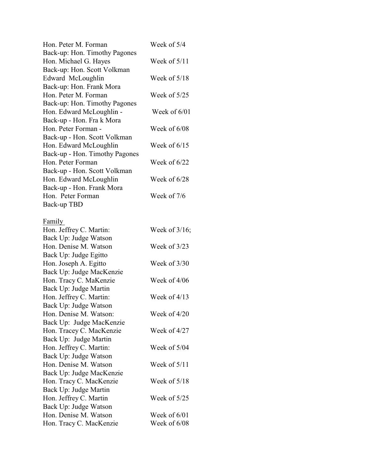| Hon. Peter M. Forman                           | Week of 5/4      |
|------------------------------------------------|------------------|
| Back-up: Hon. Timothy Pagones                  |                  |
| Hon. Michael G. Hayes                          | Week of $5/11$   |
| Back-up: Hon. Scott Volkman                    |                  |
| Edward McLoughlin                              | Week of $5/18$   |
| Back-up: Hon. Frank Mora                       |                  |
| Hon. Peter M. Forman                           | Week of $5/25$   |
| Back-up: Hon. Timothy Pagones                  |                  |
| Hon. Edward McLoughlin -                       | Week of $6/01$   |
| Back-up - Hon. Fra k Mora                      |                  |
| Hon. Peter Forman -                            | Week of 6/08     |
| Back-up - Hon. Scott Volkman                   |                  |
| Hon. Edward McLoughlin                         | Week of $6/15$   |
| Back-up - Hon. Timothy Pagones                 |                  |
| Hon. Peter Forman                              | Week of $6/22$   |
| Back-up - Hon. Scott Volkman                   |                  |
| Hon. Edward McLoughlin                         | Week of $6/28$   |
| Back-up - Hon. Frank Mora                      |                  |
| Hon. Peter Forman                              | Week of 7/6      |
| Back-up TBD                                    |                  |
|                                                |                  |
| Family                                         |                  |
| Hon. Jeffrey C. Martin:                        | Week of $3/16$ ; |
| Back Up: Judge Watson                          |                  |
| Hon. Denise M. Watson                          | Week of $3/23$   |
| Back Up: Judge Egitto                          |                  |
| Hon. Joseph A. Egitto                          | Week of $3/30$   |
| Back Up: Judge MacKenzie                       |                  |
| Hon. Tracy C. MaKenzie                         | Week of $4/06$   |
| Back Up: Judge Martin                          |                  |
| Hon. Jeffrey C. Martin:                        | Week of $4/13$   |
| Back Up: Judge Watson                          |                  |
| Hon. Denise M. Watson:                         | Week of $4/20$   |
| Back Up: Judge MacKenzie                       |                  |
| Hon. Tracey C. MacKenzie                       | Week of 4/27     |
| Back Up: Judge Martin                          |                  |
| Hon. Jeffrey C. Martin:                        | Week of 5/04     |
| Back Up: Judge Watson<br>Hon. Denise M. Watson | Week of $5/11$   |
|                                                |                  |
| Back Up: Judge MacKenzie                       |                  |
| Hon. Tracy C. MacKenzie                        | Week of 5/18     |
| Back Up: Judge Martin                          |                  |
| Hon. Jeffrey C. Martin                         | Week of $5/25$   |
| Back Up: Judge Watson<br>Hon. Denise M. Watson | Week of $6/01$   |
|                                                |                  |
| Hon. Tracy C. MacKenzie                        | Week of 6/08     |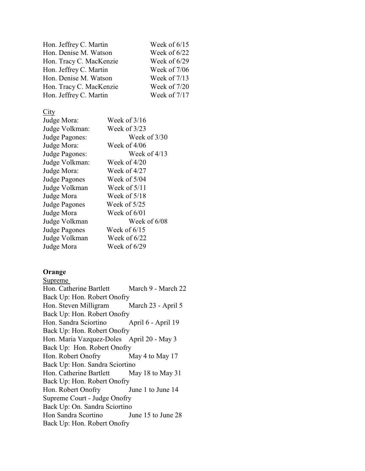| Hon. Jeffrey C. Martin  | Week of $6/15$ |
|-------------------------|----------------|
| Hon. Denise M. Watson   | Week of $6/22$ |
| Hon. Tracy C. MacKenzie | Week of $6/29$ |
| Hon. Jeffrey C. Martin  | Week of $7/06$ |
| Hon. Denise M. Watson   | Week of $7/13$ |
| Hon. Tracy C. MacKenzie | Week of $7/20$ |
| Hon. Jeffrey C. Martin  | Week of $7/17$ |

 $\frac{\text{City}}{\text{L}\cdot\text{Area}\cdot\text{M}\cdot\text{G}}$ 

| Judge Mora:          | Week of $3/16$ |
|----------------------|----------------|
| Judge Volkman:       | Week of $3/23$ |
| Judge Pagones:       | Week of 3/30   |
| Judge Mora:          | Week of 4/06   |
| Judge Pagones:       | Week of $4/13$ |
| Judge Volkman:       | Week of $4/20$ |
| Judge Mora:          | Week of 4/27   |
| <b>Judge Pagones</b> | Week of $5/04$ |
| Judge Volkman        | Week of $5/11$ |
| Judge Mora           | Week of $5/18$ |
| <b>Judge Pagones</b> | Week of $5/25$ |
| Judge Mora           | Week of 6/01   |
| Judge Volkman        | Week of 6/08   |
| <b>Judge Pagones</b> | Week of $6/15$ |
| Judge Volkman        | Week of 6/22   |
| Judge Mora           | Week of $6/29$ |
|                      |                |

# **Orange**

Supreme Hon. Catherine Bartlett March 9 - March 22 Back Up: Hon. Robert Onofry Hon. Steven Milligram March 23 - April 5 Back Up: Hon. Robert Onofry Hon. Sandra Sciortino April 6 - April 19 Back Up: Hon. Robert Onofry Hon. Maria Vazquez-Doles April 20 - May 3 Back Up: Hon. Robert Onofry Hon. Robert Onofry May 4 to May 17 Back Up: Hon. Sandra Sciortino Hon. Catherine Bartlett May 18 to May 31 Back Up: Hon. Robert Onofry Hon. Robert Onofry June 1 to June 14 Supreme Court - Judge Onofry Back Up: On. Sandra Sciortino Hon Sandra Scortino June 15 to June 28 Back Up: Hon. Robert Onofry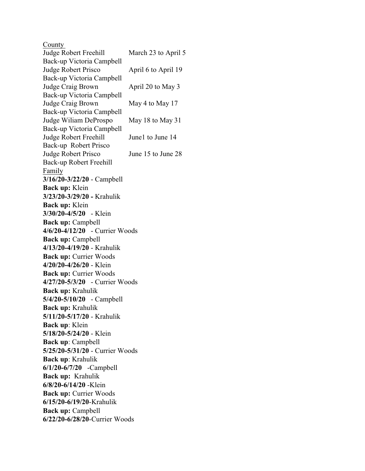County Judge Robert Freehill March 23 to April 5 Back-up Victoria Campbell Judge Robert Prisco April 6 to April 19 Back-up Victoria Campbell Judge Craig Brown April 20 to May 3 Back-up Victoria Campbell Judge Craig Brown May 4 to May 17 Back-up Victoria Campbell Judge Wiliam DeProspo May 18 to May 31 Back-up Victoria Campbell Judge Robert Freehill June1 to June 14 Back-up Robert Prisco Judge Robert Prisco June 15 to June 28 Back-up Robert Freehill Family **3/16/20-3/22/20** - Campbell **Back up:** Klein **3/23/20-3/29/20 -** Krahulik **Back up:** Klein **3/30/20-4/5/20** - Klein **Back up:** Campbell **4/6/20-4/12/20** - Currier Woods **Back up:** Campbell **4/13/20-4/19/20** - Krahulik **Back up: Currier Woods 4/20/20-4/26/20** - Klein **Back up: Currier Woods 4/27/20-5/3/20** - Currier Woods **Back up:** Krahulik **5/4/20-5/10/20** - Campbell **Back up:** Krahulik **5/11/20-5/17/20** - Krahulik **Back up**: Klein **5/18/20-5/24/20** - Klein **Back up**: Campbell **5/25/20-5/31/20** - Currier Woods **Back up**: Krahulik **6/1/20-6/7/20** -Campbell **Back up:** Krahulik **6/8/20-6/14/20** -Klein **Back up:** Currier Woods **6/15/20-6/19/20**-Krahulik **Back up:** Campbell **6/22/20-6/28/20**-Currier Woods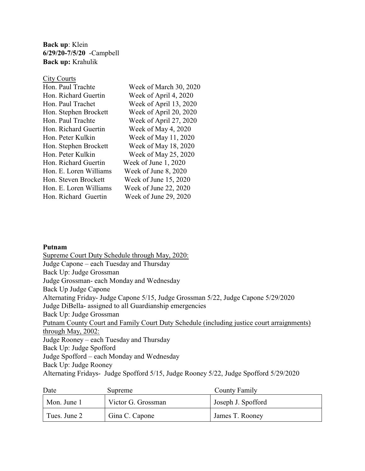**Back up**: Klein **6/29/20-7/5/20** -Campbell **Back up:** Krahulik

| <b>City Courts</b>     |                        |
|------------------------|------------------------|
| Hon. Paul Trachte      | Week of March 30, 2020 |
| Hon. Richard Guertin   | Week of April 4, 2020  |
| Hon. Paul Trachet      | Week of April 13, 2020 |
| Hon. Stephen Brockett  | Week of April 20, 2020 |
| Hon. Paul Trachte      | Week of April 27, 2020 |
| Hon. Richard Guertin   | Week of May 4, 2020    |
| Hon. Peter Kulkin      | Week of May 11, 2020   |
| Hon. Stephen Brockett  | Week of May 18, 2020   |
| Hon. Peter Kulkin      | Week of May 25, 2020   |
| Hon. Richard Guertin   | Week of June $1,2020$  |
| Hon. E. Loren Williams | Week of June 8, 2020   |
| Hon. Steven Brockett   | Week of June 15, 2020  |
| Hon. E. Loren Williams | Week of June 22, 2020  |
| Hon. Richard Guertin   | Week of June 29, 2020  |
|                        |                        |

## **Putnam**

Supreme Court Duty Schedule through May, 2020: Judge Capone – each Tuesday and Thursday Back Up: Judge Grossman Judge Grossman- each Monday and Wednesday Back Up Judge Capone Alternating Friday- Judge Capone 5/15, Judge Grossman 5/22, Judge Capone 5/29/2020 Judge DiBella- assigned to all Guardianship emergencies Back Up: Judge Grossman Putnam County Court and Family Court Duty Schedule (including justice court arraignments) through May, 2002: Judge Rooney – each Tuesday and Thursday Back Up: Judge Spofford Judge Spofford – each Monday and Wednesday Back Up: Judge Rooney Alternating Fridays- Judge Spofford 5/15, Judge Rooney 5/22, Judge Spofford 5/29/2020

| Date         | Supreme            | <b>County Family</b> |
|--------------|--------------------|----------------------|
| Mon. June 1  | Victor G. Grossman | Joseph J. Spofford   |
| Tues. June 2 | Gina C. Capone     | James T. Rooney      |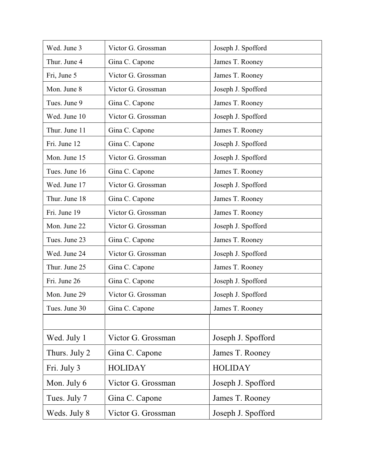| Wed. June 3   | Victor G. Grossman | Joseph J. Spofford |
|---------------|--------------------|--------------------|
| Thur. June 4  | Gina C. Capone     | James T. Rooney    |
| Fri, June 5   | Victor G. Grossman | James T. Rooney    |
| Mon. June 8   | Victor G. Grossman | Joseph J. Spofford |
| Tues. June 9  | Gina C. Capone     | James T. Rooney    |
| Wed. June 10  | Victor G. Grossman | Joseph J. Spofford |
| Thur. June 11 | Gina C. Capone     | James T. Rooney    |
| Fri. June 12  | Gina C. Capone     | Joseph J. Spofford |
| Mon. June 15  | Victor G. Grossman | Joseph J. Spofford |
| Tues. June 16 | Gina C. Capone     | James T. Rooney    |
| Wed. June 17  | Victor G. Grossman | Joseph J. Spofford |
| Thur. June 18 | Gina C. Capone     | James T. Rooney    |
| Fri. June 19  | Victor G. Grossman | James T. Rooney    |
| Mon. June 22  | Victor G. Grossman | Joseph J. Spofford |
| Tues. June 23 | Gina C. Capone     | James T. Rooney    |
| Wed. June 24  | Victor G. Grossman | Joseph J. Spofford |
| Thur. June 25 | Gina C. Capone     | James T. Rooney    |
| Fri. June 26  | Gina C. Capone     | Joseph J. Spofford |
| Mon. June 29  | Victor G. Grossman | Joseph J. Spofford |
| Tues. June 30 | Gina C. Capone     | James T. Rooney    |
|               |                    |                    |
| Wed. July 1   | Victor G. Grossman | Joseph J. Spofford |
| Thurs. July 2 | Gina C. Capone     | James T. Rooney    |
| Fri. July 3   | <b>HOLIDAY</b>     | <b>HOLIDAY</b>     |
| Mon. July 6   | Victor G. Grossman | Joseph J. Spofford |
| Tues. July 7  | Gina C. Capone     | James T. Rooney    |
| Weds. July 8  | Victor G. Grossman | Joseph J. Spofford |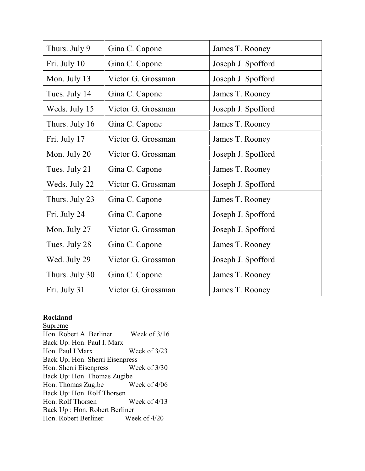| Thurs. July 9  | Gina C. Capone     | James T. Rooney    |
|----------------|--------------------|--------------------|
| Fri. July 10   | Gina C. Capone     | Joseph J. Spofford |
| Mon. July 13   | Victor G. Grossman | Joseph J. Spofford |
| Tues. July 14  | Gina C. Capone     | James T. Rooney    |
| Weds. July 15  | Victor G. Grossman | Joseph J. Spofford |
| Thurs. July 16 | Gina C. Capone     | James T. Rooney    |
| Fri. July 17   | Victor G. Grossman | James T. Rooney    |
| Mon. July 20   | Victor G. Grossman | Joseph J. Spofford |
| Tues. July 21  | Gina C. Capone     | James T. Rooney    |
| Weds. July 22  | Victor G. Grossman | Joseph J. Spofford |
| Thurs. July 23 | Gina C. Capone     | James T. Rooney    |
| Fri. July 24   | Gina C. Capone     | Joseph J. Spofford |
| Mon. July 27   | Victor G. Grossman | Joseph J. Spofford |
| Tues. July 28  | Gina C. Capone     | James T. Rooney    |
| Wed. July 29   | Victor G. Grossman | Joseph J. Spofford |
| Thurs. July 30 | Gina C. Capone     | James T. Rooney    |
| Fri. July 31   | Victor G. Grossman | James T. Rooney    |

# **Rockland**

**Supreme** Hon. Robert A. Berliner Week of 3/16 Back Up: Hon. Paul I. Marx Hon. Paul I Marx Week of 3/23 Back Up; Hon. Sherri Eisenpress Hon. Sherri Eisenpress Week of 3/30 Back Up: Hon. Thomas Zugibe Hon. Thomas Zugibe Week of  $4/06$ Back Up: Hon. Rolf Thorsen Hon. Rolf Thorsen Week of 4/13 Back Up : Hon. Robert Berliner Hon. Robert Berliner Week of 4/20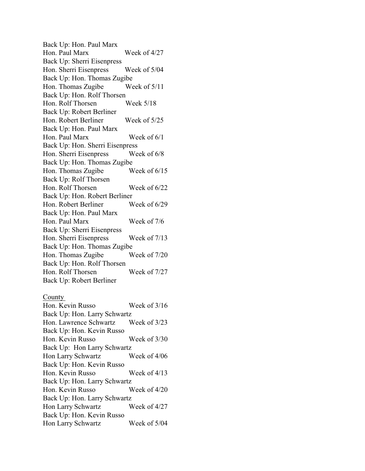Back Up: Hon. Paul Marx Hon. Paul Marx Week of 4/27 Back Up: Sherri Eisenpress Hon. Sherri Eisenpress Week of 5/04 Back Up: Hon. Thomas Zugibe Hon. Thomas Zugibe Week of 5/11 Back Up: Hon. Rolf Thorsen Hon. Rolf Thorsen Week 5/18 Back Up: Robert Berliner Hon. Robert Berliner Week of 5/25 Back Up: Hon. Paul Marx Hon. Paul Marx Week of 6/1 Back Up: Hon. Sherri Eisenpress Hon. Sherri Eisenpress Week of 6/8 Back Up: Hon. Thomas Zugibe Hon. Thomas Zugibe Week of 6/15 Back Up: Rolf Thorsen Hon. Rolf Thorsen Week of 6/22 Back Up: Hon. Robert Berliner Hon. Robert Berliner Week of 6/29 Back Up: Hon. Paul Marx Hon. Paul Marx Week of 7/6 Back Up: Sherri Eisenpress Hon. Sherri Eisenpress Week of 7/13 Back Up: Hon. Thomas Zugibe Hon. Thomas Zugibe Week of  $7/20$ Back Up: Hon. Rolf Thorsen Hon. Rolf Thorsen Week of 7/27 Back Up: Robert Berliner

## County

Hon. Kevin Russo Week of 3/16 Back Up: Hon. Larry Schwartz Hon. Lawrence Schwartz Week of 3/23 Back Up: Hon. Kevin Russo Hon. Kevin Russo Week of 3/30 Back Up: Hon Larry Schwartz Hon Larry Schwartz Week of  $4/06$ Back Up: Hon. Kevin Russo Hon. Kevin Russo Week of 4/13 Back Up: Hon. Larry Schwartz Hon. Kevin Russo Week of 4/20 Back Up: Hon. Larry Schwartz Hon Larry Schwartz Week of 4/27 Back Up: Hon. Kevin Russo Hon Larry Schwartz Week of  $5/04$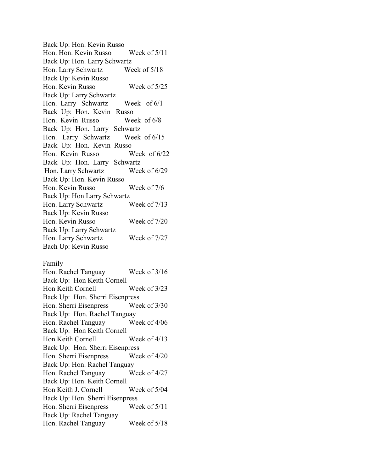Back Up: Hon. Kevin Russo Hon. Hon. Kevin Russo Week of 5/11 Back Up: Hon. Larry Schwartz Hon. Larry Schwartz Week of 5/18 Back Up: Kevin Russo Hon. Kevin Russo Week of 5/25 Back Up: Larry Schwartz Hon. Larry Schwartz Week of 6/1 Back Up: Hon. Kevin Russo Hon. Kevin Russo Week of 6/8 Back Up: Hon. Larry Schwartz Hon. Larry Schwartz Week of 6/15 Back Up: Hon. Kevin Russo Hon. Kevin Russo Week of 6/22 Back Up: Hon. Larry Schwartz Hon. Larry Schwartz Week of 6/29 Back Up: Hon. Kevin Russo Hon. Kevin Russo Week of 7/6 Back Up: Hon Larry Schwartz Hon. Larry Schwartz Week of 7/13 Back Up: Kevin Russo Hon. Kevin Russo Week of 7/20 Back Up: Larry Schwartz Hon. Larry Schwartz Week of 7/27 Bach Up: Kevin Russo

#### Family

| Hon. Rachel Tanguay             | Week of $3/16$ |  |
|---------------------------------|----------------|--|
| Back Up: Hon Keith Cornell      |                |  |
| Hon Keith Cornell               | Week of 3/23   |  |
| Back Up: Hon. Sherri Eisenpress |                |  |
| Hon. Sherri Eisenpress          | Week of $3/30$ |  |
| Back Up: Hon. Rachel Tanguay    |                |  |
| Hon. Rachel Tanguay             | Week of $4/06$ |  |
| Back Up: Hon Keith Cornell      |                |  |
| Hon Keith Cornell               | Week of $4/13$ |  |
| Back Up: Hon. Sherri Eisenpress |                |  |
| Hon. Sherri Eisenpress          | Week of $4/20$ |  |
| Back Up: Hon. Rachel Tanguay    |                |  |
| Hon. Rachel Tanguay             | Week of 4/27   |  |
| Back Up: Hon. Keith Cornell     |                |  |
| Hon Keith J. Cornell            | Week of $5/04$ |  |
| Back Up: Hon. Sherri Eisenpress |                |  |
| Hon. Sherri Eisenpress          | Week of $5/11$ |  |
| Back Up: Rachel Tanguay         |                |  |
| Hon. Rachel Tanguay             | Week of $5/18$ |  |